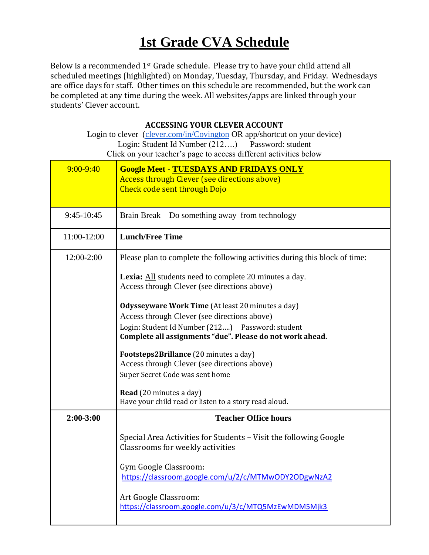## **1st Grade CVA Schedule**

Below is a recommended 1st Grade schedule. Please try to have your child attend all scheduled meetings (highlighted) on Monday, Tuesday, Thursday, and Friday. Wednesdays are office days for staff. Other times on this schedule are recommended, but the work can be completed at any time during the week. All websites/apps are linked through your students' Clever account.

## **ACCESSING YOUR CLEVER ACCOUNT**

Login to clever [\(clever.com/in/Covington](http://www.clever.com/in/Covington) OR app/shortcut on your device) Login: Student Id Number (212….) Password: student Click on your teacher's page to access different activities below

| $9:00 - 9:40$ | <b>Google Meet - TUESDAYS AND FRIDAYS ONLY</b><br><b>Access through Clever (see directions above)</b><br><b>Check code sent through Dojo</b>                                                                                                                                                                                                                                                                                                                                                                                                                                                                                        |
|---------------|-------------------------------------------------------------------------------------------------------------------------------------------------------------------------------------------------------------------------------------------------------------------------------------------------------------------------------------------------------------------------------------------------------------------------------------------------------------------------------------------------------------------------------------------------------------------------------------------------------------------------------------|
| $9:45-10:45$  | Brain Break – Do something away from technology                                                                                                                                                                                                                                                                                                                                                                                                                                                                                                                                                                                     |
| 11:00-12:00   | <b>Lunch/Free Time</b>                                                                                                                                                                                                                                                                                                                                                                                                                                                                                                                                                                                                              |
| 12:00-2:00    | Please plan to complete the following activities during this block of time:<br><b>Lexia:</b> All students need to complete 20 minutes a day.<br>Access through Clever (see directions above)<br>Odysseyware Work Time (At least 20 minutes a day)<br>Access through Clever (see directions above)<br>Login: Student Id Number (212) Password: student<br>Complete all assignments "due". Please do not work ahead.<br>Footsteps2Brillance (20 minutes a day)<br>Access through Clever (see directions above)<br>Super Secret Code was sent home<br>Read (20 minutes a day)<br>Have your child read or listen to a story read aloud. |
| $2:00-3:00$   | <b>Teacher Office hours</b><br>Special Area Activities for Students – Visit the following Google<br>Classrooms for weekly activities<br>Gym Google Classroom:<br>https://classroom.google.com/u/2/c/MTMwODY2ODgwNzA2                                                                                                                                                                                                                                                                                                                                                                                                                |
|               | Art Google Classroom:<br>https://classroom.google.com/u/3/c/MTQ5MzEwMDM5Mjk3                                                                                                                                                                                                                                                                                                                                                                                                                                                                                                                                                        |